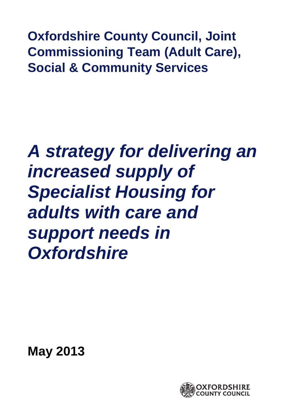**Oxfordshire County Council, Joint Commissioning Team (Adult Care), Social & Community Services** 

# *A strategy for delivering an increased supply of Specialist Housing for adults with care and support needs in Oxfordshire*

**May 2013**

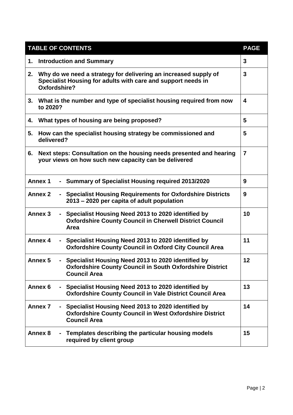| <b>TABLE OF CONTENTS</b>                                                                                                                                       | <b>PAGE</b>    |  |  |  |  |
|----------------------------------------------------------------------------------------------------------------------------------------------------------------|----------------|--|--|--|--|
| <b>Introduction and Summary</b><br>1.                                                                                                                          |                |  |  |  |  |
| Why do we need a strategy for delivering an increased supply of<br>2.<br>Specialist Housing for adults with care and support needs in<br>Oxfordshire?          | 3              |  |  |  |  |
| What is the number and type of specialist housing required from now<br>3.<br>to 2020?                                                                          | 4              |  |  |  |  |
| What types of housing are being proposed?<br>4.                                                                                                                | 5              |  |  |  |  |
| 5.<br>How can the specialist housing strategy be commissioned and<br>delivered?                                                                                | 5              |  |  |  |  |
| Next steps: Consultation on the housing needs presented and hearing<br>6.<br>your views on how such new capacity can be delivered                              | $\overline{7}$ |  |  |  |  |
| <b>Annex 1</b><br><b>Summary of Specialist Housing required 2013/2020</b>                                                                                      | 9              |  |  |  |  |
| <b>Annex 2</b><br><b>Specialist Housing Requirements for Oxfordshire Districts</b><br>$\blacksquare$<br>2013 – 2020 per capita of adult population             | 9              |  |  |  |  |
| Annex <sub>3</sub><br>Specialist Housing Need 2013 to 2020 identified by<br>$\sim$<br><b>Oxfordshire County Council in Cherwell District Council</b><br>Area   | 10             |  |  |  |  |
| Annex 4<br>Specialist Housing Need 2013 to 2020 identified by<br><b>Oxfordshire County Council in Oxford City Council Area</b>                                 | 11             |  |  |  |  |
| <b>Annex 5</b><br>Specialist Housing Need 2013 to 2020 identified by<br><b>Oxfordshire County Council in South Oxfordshire District</b><br><b>Council Area</b> | 12             |  |  |  |  |
| Annex 6<br>Specialist Housing Need 2013 to 2020 identified by<br>$\blacksquare$<br><b>Oxfordshire County Council in Vale District Council Area</b>             | 13             |  |  |  |  |
| <b>Annex 7</b><br>Specialist Housing Need 2013 to 2020 identified by<br><b>Oxfordshire County Council in West Oxfordshire District</b><br><b>Council Area</b>  | 14             |  |  |  |  |
| <b>Annex 8</b><br>- Templates describing the particular housing models<br>required by client group                                                             | 15             |  |  |  |  |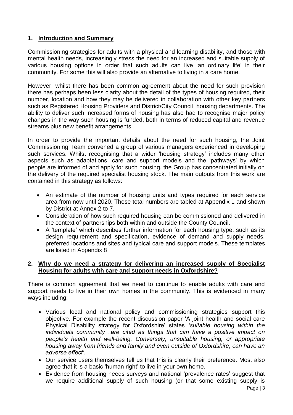# **1. Introduction and Summary**

Commissioning strategies for adults with a physical and learning disability, and those with mental health needs, increasingly stress the need for an increased and suitable supply of various housing options in order that such adults can live 'an ordinary life' in their community. For some this will also provide an alternative to living in a care home.

However, whilst there has been common agreement about the need for such provision there has perhaps been less clarity about the detail of the types of housing required, their number, location and how they may be delivered in collaboration with other key partners such as Registered Housing Providers and District/City Council housing departments. The ability to deliver such increased forms of housing has also had to recognise major policy changes in the way such housing is funded, both in terms of reduced capital and revenue streams plus new benefit arrangements.

In order to provide the important details about the need for such housing, the Joint Commissioning Team convened a group of various managers experienced in developing such services. Whilst recognising that a wider 'housing strategy' includes many other aspects such as adaptations, care and support models and the 'pathways' by which people are informed of and apply for such housing, the Group has concentrated initially on the delivery of the required specialist housing stock. The main outputs from this work are contained in this strategy as follows:

- An estimate of the number of housing units and types required for each service area from now until 2020. These total numbers are tabled at Appendix 1 and shown by District at Annex 2 to 7.
- Consideration of how such required housing can be commissioned and delivered in the context of partnerships both within and outside the County Council.
- A 'template' which describes further information for each housing type, such as its design requirement and specification, evidence of demand and supply needs, preferred locations and sites and typical care and support models. These templates are listed in Appendix 8

# **2. Why do we need a strategy for delivering an increased supply of Specialist Housing for adults with care and support needs in Oxfordshire?**

There is common agreement that we need to continue to enable adults with care and support needs to live in their own homes in the community. This is evidenced in many ways including:

- Various local and national policy and commissioning strategies support this objective. For example the recent discussion paper 'A joint health and social care Physical Disability strategy for Oxfordshire' states *'suitable housing within the individuals community…are cited as things that can have a positive impact on people's health and well-being. Conversely, unsuitable housing, or appropriate housing away from friends and family and even outside of Oxfordshire, can have an adverse effect'*.
- Our service users themselves tell us that this is clearly their preference. Most also agree that it is a basic 'human right' to live in your own home.
- Evidence from housing needs surveys and national 'prevalence rates' suggest that we require additional supply of such housing (or that some existing supply is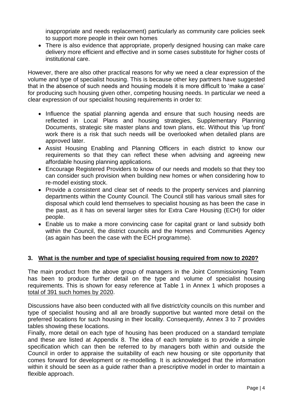inappropriate and needs replacement) particularly as community care policies seek to support more people in their own homes

 There is also evidence that appropriate, properly designed housing can make care delivery more efficient and effective and in some cases substitute for higher costs of institutional care.

However, there are also other practical reasons for why we need a clear expression of the volume and type of specialist housing. This is because other key partners have suggested that in the absence of such needs and housing models it is more difficult to 'make a case' for producing such housing given other, competing housing needs. In particular we need a clear expression of our specialist housing requirements in order to:

- Influence the spatial planning agenda and ensure that such housing needs are reflected in Local Plans and housing strategies, Supplementary Planning Documents, strategic site master plans and town plans, etc. Without this 'up front' work there is a risk that such needs will be overlooked when detailed plans are approved later.
- Assist Housing Enabling and Planning Officers in each district to know our requirements so that they can reflect these when advising and agreeing new affordable housing planning applications.
- Encourage Registered Providers to know of our needs and models so that they too can consider such provision when building new homes or when considering how to re-model existing stock.
- Provide a consistent and clear set of needs to the property services and planning departments within the County Council. The Council still has various small sites for disposal which could lend themselves to specialist housing as has been the case in the past, as it has on several larger sites for Extra Care Housing (ECH) for older people.
- Enable us to make a more convincing case for capital grant or land subsidy both within the Council, the district councils and the Homes and Communities Agency (as again has been the case with the ECH programme).

# **3. What is the number and type of specialist housing required from now to 2020?**

The main product from the above group of managers in the Joint Commissioning Team has been to produce further detail on the type and volume of specialist housing requirements. This is shown for easy reference at Table 1 in Annex 1 which proposes a total of 391 such homes by 2020.

Discussions have also been conducted with all five district/city councils on this number and type of specialist housing and all are broadly supportive but wanted more detail on the preferred locations for such housing in their locality. Consequently, Annex 3 to 7 provides tables showing these locations.

Finally, more detail on each type of housing has been produced on a standard template and these are listed at Appendix 8. The idea of each template is to provide a simple specification which can then be referred to by managers both within and outside the Council in order to appraise the suitability of each new housing or site opportunity that comes forward for development or re-modelling. It is acknowledged that the information within it should be seen as a guide rather than a prescriptive model in order to maintain a flexible approach.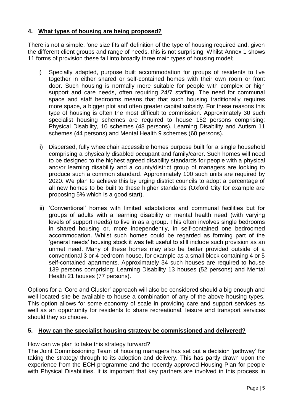# **4. What types of housing are being proposed?**

There is not a simple, 'one size fits all' definition of the type of housing required and, given the different client groups and range of needs, this is not surprising. Whilst Annex 1 shows 11 forms of provision these fall into broadly three main types of housing model;

- i) Specially adapted, purpose built accommodation for groups of residents to live together in either shared or self-contained homes with their own room or front door. Such housing is normally more suitable for people with complex or high support and care needs, often requiring 24/7 staffing. The need for communal space and staff bedrooms means that that such housing traditionally requires more space, a bigger plot and often greater capital subsidy. For these reasons this type of housing is often the most difficult to commission. Approximately 30 such specialist housing schemes are required to house 152 persons comprising; Physical Disability, 10 schemes (48 persons), Learning Disability and Autism 11 schemes (44 persons) and Mental Health 9 schemes (60 persons).
- ii) Dispersed, fully wheelchair accessible homes purpose built for a single household comprising a physically disabled occupant and family/carer. Such homes will need to be designed to the highest agreed disability standards for people with a physical and/or learning disability and a county/district group of managers are looking to produce such a common standard. Approximately 100 such units are required by 2020. We plan to achieve this by urging district councils to adopt a percentage of all new homes to be built to these higher standards (Oxford City for example are proposing 5% which is a good start).
- iii) 'Conventional' homes with limited adaptations and communal facilities but for groups of adults with a learning disability or mental health need (with varying levels of support needs) to live in as a group. This often involves single bedrooms in shared housing or, more independently, in self-contained one bedroomed accommodation. Whilst such homes could be regarded as forming part of the 'general needs' housing stock it was felt useful to still include such provision as an unmet need. Many of these homes may also be better provided outside of a conventional 3 or 4 bedroom house, for example as a small block containing 4 or 5 self-contained apartments. Approximately 34 such houses are required to house 139 persons comprising; Learning Disability 13 houses (52 persons) and Mental Health 21 houses (77 persons).

Options for a 'Core and Cluster' approach will also be considered should a big enough and well located site be available to house a combination of any of the above housing types. This option allows for some economy of scale in providing care and support services as well as an opportunity for residents to share recreational, leisure and transport services should they so choose.

# **5. How can the specialist housing strategy be commissioned and delivered?**

# How can we plan to take this strategy forward?

The Joint Commissioning Team of housing managers has set out a decision 'pathway' for taking the strategy through to its adoption and delivery. This has partly drawn upon the experience from the ECH programme and the recently approved Housing Plan for people with Physical Disabilities. It is important that key partners are involved in this process in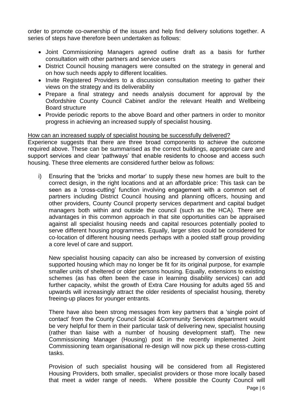order to promote co-ownership of the issues and help find delivery solutions together. A series of steps have therefore been undertaken as follows:

- Joint Commissioning Managers agreed outline draft as a basis for further consultation with other partners and service users
- District Council housing managers were consulted on the strategy in general and on how such needs apply to different localities.
- Invite Registered Providers to a discussion consultation meeting to gather their views on the strategy and its deliverability
- Prepare a final strategy and needs analysis document for approval by the Oxfordshire County Council Cabinet and/or the relevant Health and Wellbeing Board structure
- Provide periodic reports to the above Board and other partners in order to monitor progress in achieving an increased supply of specialist housing.

#### How can an increased supply of specialist housing be successfully delivered?

Experience suggests that there are three broad components to achieve the outcome required above. These can be summarised as the correct buildings, appropriate care and support services and clear 'pathways' that enable residents to choose and access such housing. These three elements are considered further below as follows:

i) Ensuring that the 'bricks and mortar' to supply these new homes are built to the correct design, in the right locations and at an affordable price: This task can be seen as a 'cross-cutting' function involving engagement with a common set of partners including District Council housing and planning officers, housing and other providers, County Council property services department and capital budget managers both within and outside the council (such as the HCA). There are advantages in this common approach in that site opportunities can be appraised against all specialist housing needs and capital resources potentially pooled to serve different housing programmes. Equally, larger sites could be considered for co-location of different housing needs perhaps with a pooled staff group providing a core level of care and support.

New specialist housing capacity can also be increased by conversion of existing supported housing which may no longer be fit for its original purpose, for example smaller units of sheltered or older persons housing. Equally, extensions to existing schemes (as has often been the case in learning disability services) can add further capacity, whilst the growth of Extra Care Housing for adults aged 55 and upwards will increasingly attract the older residents of specialist housing, thereby freeing-up places for younger entrants.

There have also been strong messages from key partners that a 'single point of contact' from the County Council Social &Community Services department would be very helpful for them in their particular task of delivering new, specialist housing (rather than liaise with a number of housing development staff). The new Commissioning Manager (Housing) post in the recently implemented Joint Commissioning team organisational re-design will now pick up these cross-cutting tasks.

Provision of such specialist housing will be considered from all Registered Housing Providers, both smaller, specialist providers or those more locally based that meet a wider range of needs. Where possible the County Council will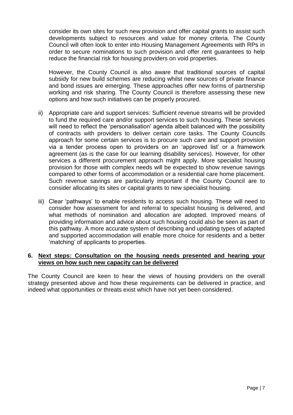consider its own sites for such new provision and offer capital grants to assist such developments subject to resources and value for money criteria. The County Council will often look to enter into Housing Management Agreements with RPs in order to secure nominations to such provision and offer rent guarantees to help reduce the financial risk for housing providers on void properties.

However, the County Council is also aware that traditional sources of capital subsidy for new build schemes are reducing whilst new sources of private finance and bond issues are emerging. These approaches offer new forms of partnership working and risk sharing. The County Council is therefore assessing these new options and how such initiatives can be properly procured.

- ii) Appropriate care and support services: Sufficient revenue streams will be provided to fund the required care and/or support services to such housing. These services will need to reflect the 'personalisation' agenda albeit balanced with the possibility of contracts with providers to deliver certain core tasks. The County Councils approach for some certain services is to procure such care and support provision via a tender process open to providers on an 'approved list' or a framework agreement (as is the case for our learning disability services). However, for other services a different procurement approach might apply. More specialist housing provision for those with complex needs will be expected to show revenue savings compared to other forms of accommodation or a residential care home placement. Such revenue savings are particularly important if the County Council are to consider allocating its sites or capital grants to new specialist housing.
- iii) Clear 'pathways' to enable residents to access such housing. These will need to consider how assessment for and referral to specialist housing is delivered, and what methods of nomination and allocation are adopted. Improved means of providing information and advice about such housing could also be seen as part of this pathway. A more accurate system of describing and updating types of adapted and supported accommodation will enable more choice for residents and a better 'matching' of applicants to properties.

# **6. Next steps: Consultation on the housing needs presented and hearing your views on how such new capacity can be delivered**

The County Council are keen to hear the views of housing providers on the overall strategy presented above and how these requirements can be delivered in practice, and indeed what opportunities or threats exist which have not yet been considered.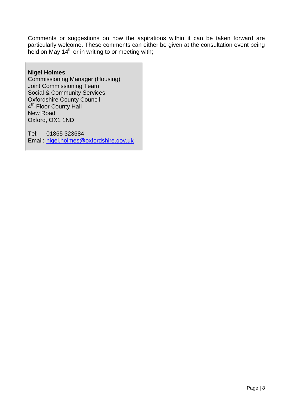Comments or suggestions on how the aspirations within it can be taken forward are particularly welcome. These comments can either be given at the consultation event being held on May 14<sup>th</sup> or in writing to or meeting with;

# **Nigel Holmes**

Commissioning Manager (Housing) Joint Commissioning Team Social & Community Services Oxfordshire County Council 4<sup>th</sup> Floor County Hall New Road Oxford, OX1 1ND

Tel: 01865 323684 Email: [nigel.holmes@oxfordshire.gov.uk](mailto:nigel.holmes@oxfordshire.gov.uk)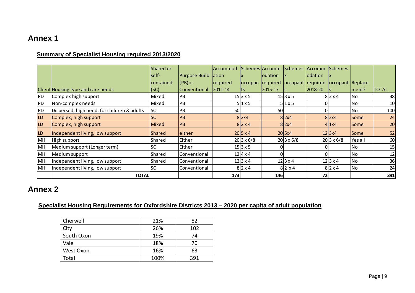# **Summary of Specialist Housing required 2013/2020**

| າnex 1    |                                                         |           |               |               |                   |                    |                   |         |                   |             |              |
|-----------|---------------------------------------------------------|-----------|---------------|---------------|-------------------|--------------------|-------------------|---------|-------------------|-------------|--------------|
|           | <b>Summary of Specialist Housing required 2013/2020</b> |           |               |               |                   |                    |                   |         |                   |             |              |
|           |                                                         | Shared or |               | Accommod      |                   | Schemes Accomm     | Schemes           | Accomm  | <b>Schemes</b>    |             |              |
|           |                                                         | self-     | Purpose Build | <b>ation</b>  |                   | odation            | Ιx                | odation |                   |             |              |
|           |                                                         | contained | $ $ (PB)or    | required      |                   | occupan   required | occupant required |         | occupant Replace  |             |              |
|           | Client Housing type and care needs                      | (SC)      | lConventional | $ 2011 - 14 $ | ts                | 2015-17            |                   | 2018-20 |                   | ment?       | <b>TOTAL</b> |
| PD        | Complex high support                                    | Mixed     | <b>PB</b>     |               | $15 3 \times 5$   |                    | $15 3 \times 5$   |         | $8$  2 x 4        | No          | 38           |
| PD        | Non-complex needs                                       | Mixed     | <b>PB</b>     |               | $5$  1 x 5        |                    | $5$   1 x 5       |         |                   | <b>No</b>   | 10           |
| PD        | Dispersed, high need, for children & adults             | lsc       | PB            | 50            |                   | 50                 |                   |         |                   | No          | 100          |
| LD        | Complex, high support                                   | <b>SC</b> | <b>PB</b>     |               | $8$  2x4          |                    | $8$  2x4          |         | $8$  2x4          | <b>Some</b> | 24           |
| LD        | Complex, high support                                   | Mixed     | <b>PB</b>     |               | $8$  2 x 4        |                    | $8$  2x4          |         | $4$   1x4         | Some        | 20           |
| <b>LD</b> | Independent living, low support                         | Shared    | leither       |               | $20 5 \times 4$   |                    | 20 5x4            |         | 12 3x4            | <b>Some</b> | 52           |
| MH        | High support                                            | Shared    | Either        |               | $20 3 \times 6/8$ |                    | $20 3 \times 6/8$ |         | $20 3 \times 6/8$ | Yes all     | 60           |
| MH        | Medium support (Longer term)                            | <b>SC</b> | Either        |               | $15 3 \times 5$   |                    |                   |         |                   | No          | 15           |
| MH        | Medium support                                          | Shared    | Conventional  |               | $12 4 \times 4$   |                    |                   |         |                   | No          | 12           |
| MH        | Independent living, low support                         | Shared    | Conventional  |               | 12 3x4            |                    | $12$ 3 x 4        |         | 12 3x4            | No          | 36           |
| MH        | Independent living, low support                         | <b>SC</b> | Conventional  |               | $8$  2 x 4        |                    | $8$  2 x 4        |         | $8$  2 x 4        | No          | 24           |
|           | <b>TOTAL</b>                                            |           |               | 173           |                   | 146                |                   | 72      |                   |             | 391          |

# **Annex 2**

# **Specialist Housing Requirements for Oxfordshire Districts 2013 – 2020 per capita of adult population**

| Cherwell   | 21%  | 82  |
|------------|------|-----|
| City       | 26%  | 102 |
| South Oxon | 19%  | 74  |
| Vale       | 18%  | 70  |
| West Oxon  | 16%  | 63  |
| Total      | 100% | 391 |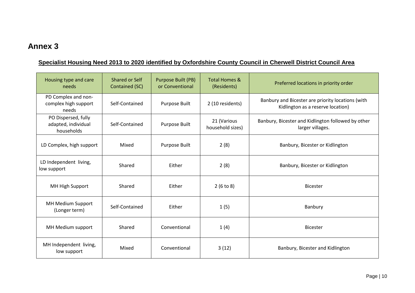# **Specialist Housing Need 2013 to 2020 identified by Oxfordshire County Council in Cherwell District Council Area**

| Housing type and care<br>needs                           | Shared or Self<br>Contained (SC) | Purpose Built (PB)<br>or Conventional | <b>Total Homes &amp;</b><br>(Residents) | Preferred locations in priority order                                                  |
|----------------------------------------------------------|----------------------------------|---------------------------------------|-----------------------------------------|----------------------------------------------------------------------------------------|
| PD Complex and non-<br>complex high support<br>needs     | Self-Contained                   | Purpose Built                         | 2 (10 residents)                        | Banbury and Bicester are priority locations (with<br>Kidlington as a reserve location) |
| PO Dispersed, fully<br>adapted, individual<br>households | Self-Contained                   | Purpose Built                         | 21 (Various<br>household sizes)         | Banbury, Bicester and Kidlington followed by other<br>larger villages.                 |
| LD Complex, high support                                 | Mixed                            | Purpose Built                         | 2(8)                                    | Banbury, Bicester or Kidlington                                                        |
| LD Independent living,<br>low support                    | Shared                           | Either                                | 2(8)                                    | Banbury, Bicester or Kidlington                                                        |
| MH High Support                                          | Shared                           | Either                                | 2(6 to 8)                               | <b>Bicester</b>                                                                        |
| MH Medium Support<br>(Longer term)                       | Self-Contained                   | Fither                                | 1(5)                                    | Banbury                                                                                |
| MH Medium support                                        | Shared                           | Conventional                          | 1(4)                                    | <b>Bicester</b>                                                                        |
| MH Independent living,<br>low support                    | Mixed                            | Conventional                          | 3(12)                                   | Banbury, Bicester and Kidlington                                                       |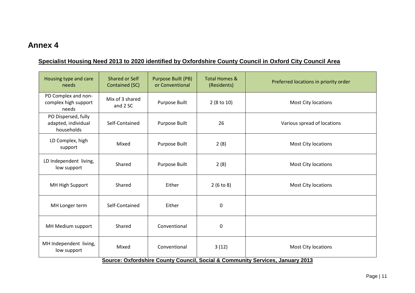# **Specialist Housing Need 2013 to 2020 identified by Oxfordshire County Council in Oxford City Council Area**

| Housing type and care<br>needs                           | Shared or Self<br>Contained (SC) | Purpose Built (PB)<br>or Conventional | <b>Total Homes &amp;</b><br>(Residents) | Preferred locations in priority order                                         |
|----------------------------------------------------------|----------------------------------|---------------------------------------|-----------------------------------------|-------------------------------------------------------------------------------|
| PD Complex and non-<br>complex high support<br>needs     | Mix of 3 shared<br>and 2 SC      | Purpose Built                         | $2(8 \text{ to } 10)$                   | <b>Most City locations</b>                                                    |
| PO Dispersed, fully<br>adapted, individual<br>households | Self-Contained                   | Purpose Built                         | 26                                      | Various spread of locations                                                   |
| LD Complex, high<br>support                              | Mixed                            | Purpose Built                         | 2(8)                                    | Most City locations                                                           |
| LD Independent living,<br>low support                    | Shared                           | Purpose Built                         | 2(8)                                    | <b>Most City locations</b>                                                    |
| MH High Support                                          | Shared                           | Either                                | 2(6 to 8)                               | Most City locations                                                           |
| MH Longer term                                           | Self-Contained                   | Either                                | $\mathbf 0$                             |                                                                               |
| MH Medium support                                        | Shared                           | Conventional                          | $\mathbf 0$                             |                                                                               |
| MH Independent living,<br>low support                    | Mixed                            | Conventional                          | 3(12)                                   | Most City locations                                                           |
|                                                          |                                  |                                       |                                         | Source: Oxfordshire County Council, Social & Community Services, January 2013 |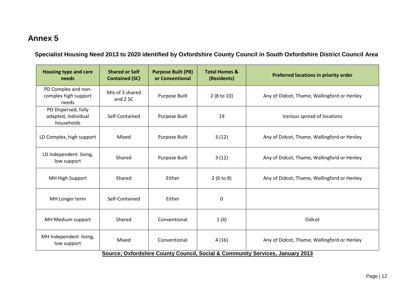**Specialist Housing Need 2013 to 2020 identified by Oxfordshire County Council in South Oxfordshire District Council Area**

| <b>Housing type and care</b><br>needs                                         | <b>Shared or Self</b><br><b>Contained (SC)</b> | <b>Purpose Built (PB)</b><br>or Conventional | <b>Total Homes &amp;</b><br>(Residents) | Preferred locations in priority order       |  |  |  |
|-------------------------------------------------------------------------------|------------------------------------------------|----------------------------------------------|-----------------------------------------|---------------------------------------------|--|--|--|
| PD Complex and non-<br>complex high support<br>needs                          | Mix of 3 shared<br>and 2 SC                    | Purpose Built                                | $2(8 \text{ to } 10)$                   | Any of Didcot, Thame, Wallingford or Henley |  |  |  |
| PO Dispersed, fully<br>adapted, individual<br>households                      | Self-Contained                                 | Purpose Built                                | 19                                      | Various spread of locations                 |  |  |  |
| LD Complex, high support                                                      | Mixed                                          | Purpose Built                                | 3(12)                                   | Any of Didcot, Thame, Wallingford or Henley |  |  |  |
| LD Independent living,<br>low support                                         | Shared                                         | Purpose Built                                | 3(12)                                   | Any of Didcot, Thame, Wallingford or Henley |  |  |  |
| MH High Support                                                               | Shared                                         | Either                                       | 2(6 to 8)                               | Any of Didcot, Thame, Wallingford or Henley |  |  |  |
| MH Longer term                                                                | Self-Contained                                 | Either                                       | $\mathbf 0$                             |                                             |  |  |  |
| MH Medium support                                                             | Shared                                         | Conventional                                 | 1(4)                                    | Didcot                                      |  |  |  |
| MH Independent living,<br>low support                                         | Mixed                                          | Conventional                                 | 4(16)                                   | Any of Didcot, Thame, Wallingford or Henley |  |  |  |
| Source; Oxfordshire County Council, Social & Community Services, January 2013 |                                                |                                              |                                         |                                             |  |  |  |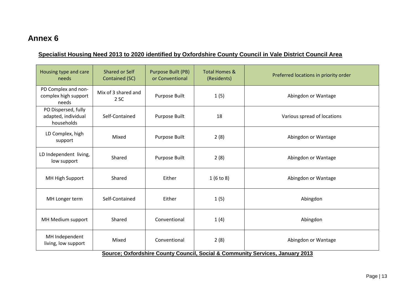# **Specialist Housing Need 2013 to 2020 identified by Oxfordshire County Council in Vale District Council Area**

| Housing type and care<br>needs                           | Shared or Self<br>Contained (SC)                                              | Purpose Built (PB)<br>or Conventional | <b>Total Homes &amp;</b><br>(Residents) | Preferred locations in priority order |  |  |  |  |
|----------------------------------------------------------|-------------------------------------------------------------------------------|---------------------------------------|-----------------------------------------|---------------------------------------|--|--|--|--|
| PD Complex and non-<br>complex high support<br>needs     | Mix of 3 shared and<br>2 SC                                                   | Purpose Built                         | 1(5)                                    | Abingdon or Wantage                   |  |  |  |  |
| PO Dispersed, fully<br>adapted, individual<br>households | Self-Contained                                                                | Purpose Built                         | 18                                      | Various spread of locations           |  |  |  |  |
| LD Complex, high<br>support                              | Mixed                                                                         | Purpose Built                         | 2(8)                                    | Abingdon or Wantage                   |  |  |  |  |
| LD Independent living,<br>low support                    | Shared                                                                        | Purpose Built                         | 2(8)                                    | Abingdon or Wantage                   |  |  |  |  |
| MH High Support                                          | Shared                                                                        | Either                                | 1(6 to 8)                               | Abingdon or Wantage                   |  |  |  |  |
| MH Longer term                                           | Self-Contained                                                                | Either                                | 1(5)                                    | Abingdon                              |  |  |  |  |
| MH Medium support                                        | Shared                                                                        | Conventional                          | 1(4)                                    | Abingdon                              |  |  |  |  |
| MH Independent<br>living, low support                    | Mixed                                                                         | Conventional                          | 2(8)                                    | Abingdon or Wantage                   |  |  |  |  |
|                                                          | Source; Oxfordshire County Council, Social & Community Services, January 2013 |                                       |                                         |                                       |  |  |  |  |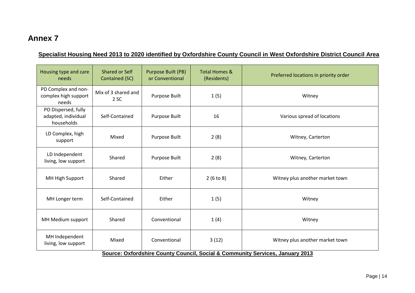# **Specialist Housing Need 2013 to 2020 identified by Oxfordshire County Council in West Oxfordshire District Council Area**

| Housing type and care<br>needs                                                | <b>Shared or Self</b><br>Contained (SC) | Purpose Built (PB)<br>or Conventional | <b>Total Homes &amp;</b><br>(Residents) | Preferred locations in priority order |  |  |  |
|-------------------------------------------------------------------------------|-----------------------------------------|---------------------------------------|-----------------------------------------|---------------------------------------|--|--|--|
| PD Complex and non-<br>complex high support<br>needs                          | Mix of 3 shared and<br>2 SC             | Purpose Built                         | 1(5)                                    | Witney                                |  |  |  |
| PO Dispersed, fully<br>adapted, individual<br>households                      | Self-Contained                          | Purpose Built                         | 16                                      | Various spread of locations           |  |  |  |
| LD Complex, high<br>support                                                   | Mixed                                   | Purpose Built                         | 2(8)                                    | Witney, Carterton                     |  |  |  |
| LD Independent<br>living, low support                                         | Shared                                  | Purpose Built                         | 2(8)                                    | Witney, Carterton                     |  |  |  |
| MH High Support                                                               | Shared                                  | Either                                | 2(6 to 8)                               | Witney plus another market town       |  |  |  |
| MH Longer term                                                                | Self-Contained                          | Either                                | 1(5)                                    | Witney                                |  |  |  |
| MH Medium support                                                             | Shared                                  | Conventional                          | 1(4)                                    | Witney                                |  |  |  |
| MH Independent<br>living, low support                                         | Mixed                                   | Conventional                          | 3(12)                                   | Witney plus another market town       |  |  |  |
| Source: Oxfordshire County Council, Social & Community Services, January 2013 |                                         |                                       |                                         |                                       |  |  |  |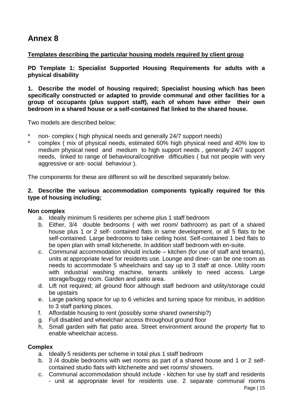# **Templates describing the particular housing models required by client group**

**PD Template 1: Specialist Supported Housing Requirements for adults with a physical disability**

**1. Describe the model of housing required; Specialist housing which has been specifically constructed or adapted to provide communal and other facilities for a group of occupants (plus support staff), each of whom have either their own bedroom in a shared house or a self-contained flat linked to the shared house.** 

Two models are described below:

- \* non- complex ( high physical needs and generally 24/7 support needs)<br>\* somplex ( mix of physical needs, estimated 60% bigh physical peod)
- \* complex ( mix of physical needs, estimated 60% high physical need and 40% low to medium physical need and medium to high support needs , generally 24/7 support needs, linked to range of behavioural/cognitive difficulties ( but not people with very aggressive or ant- social behaviour ).

The components for these are different so will be described separately below.

# **2. Describe the various accommodation components typically required for this type of housing including;**

#### **Non complex**

- a. Ideally minimum 5 residents per scheme plus 1 staff bedroom
- b. Either, 3/4 double bedrooms ( with wet room/ bathroom) as part of a shared house plus 1 or 2 self- contained flats in same development, or all 5 flats to be self-contained. Large bedrooms to take ceiling hoist. Self-contained 1 bed flats to be open plan with small kitchenette. In addition staff bedroom with en-suite.
- c. Communal accommodation should include kitchen (for use of staff and tenants), units at appropriate level for residents use. Lounge and diner- can be one room as needs to accommodate 5 wheelchairs and say up to 3 staff at once. Utility room with industrial washing machine, tenants unlikely to need access. Large storage/buggy room. Garden and patio area.
- d. Lift not required; all ground floor although staff bedroom and utility/storage could be upstairs
- e. Large parking space for up to 6 vehicles and turning space for minibus, in addition to 3 staff parking places.
- f. Affordable housing to rent (possibly some shared ownership?)
- g. Full disabled and wheelchair access throughout ground floor
- h. Small garden with flat patio area. Street environment around the property flat to enable wheelchair access.

#### **Complex**

- a. Ideally 5 residents per scheme in total plus 1 staff bedroom
- b. 3 /4 double bedrooms with wet rooms as part of a shared house and 1 or 2 selfcontained studio flats with kitchenette and wet rooms/ showers.
- c. Communal accommodation should include kitchen for use by staff and residents - unit at appropriate level for residents use. 2 separate communal rooms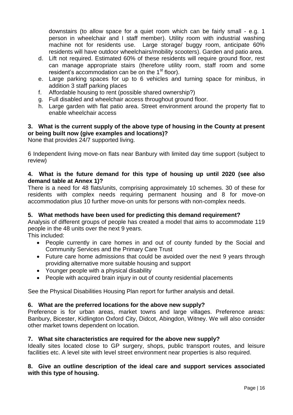downstairs (to allow space for a quiet room which can be fairly small - e.g. 1 person in wheelchair and I staff member). Utility room with industrial washing machine not for residents use. Large storage/ buggy room, anticipate 60% residents will have outdoor wheelchairs/mobility scooters). Garden and patio area.

- d. Lift not required. Estimated 60% of these residents will require ground floor, rest can manage appropriate stairs (therefore utility room, staff room and some resident's accommodation can be on the  $1<sup>st</sup>$  floor).
- e. Large parking spaces for up to 6 vehicles and turning space for minibus, in addition 3 staff parking places
- f. Affordable housing to rent (possible shared ownership?)
- g. Full disabled and wheelchair access throughout ground floor.
- h. Large garden with flat patio area. Street environment around the property flat to enable wheelchair access

# **3. What is the current supply of the above type of housing in the County at present or being built now (give examples and locations)?**

None that provides 24/7 supported living.

6 Independent living move-on flats near Banbury with limited day time support (subject to review)

# **4. What is the future demand for this type of housing up until 2020 (see also demand table at Annex 1)?**

There is a need for 48 flats/units, comprising approximately 10 schemes. 30 of these for residents with complex needs requiring permanent housing and 8 for move-on accommodation plus 10 further move-on units for persons with non-complex needs.

# **5. What methods have been used for predicting this demand requirement?**

Analysis of different groups of people has created a model that aims to accommodate 119 people in the 48 units over the next 9 years.

This included:

- People currently in care homes in and out of county funded by the Social and Community Services and the Primary Care Trust
- Future care home admissions that could be avoided over the next 9 years through providing alternative more suitable housing and support
- Younger people with a physical disability
- People with acquired brain injury in out of county residential placements

See the Physical Disabilities Housing Plan report for further analysis and detail.

# **6. What are the preferred locations for the above new supply?**

Preference is for urban areas, market towns and large villages. Preference areas: Banbury, Bicester, Kidlington Oxford City, Didcot, Abingdon, Witney. We will also consider other market towns dependent on location.

# **7. What site characteristics are required for the above new supply?**

Ideally sites located close to GP surgery, shops, public transport routes, and leisure facilities etc. A level site with level street environment near properties is also required.

# **8. Give an outline description of the ideal care and support services associated with this type of housing.**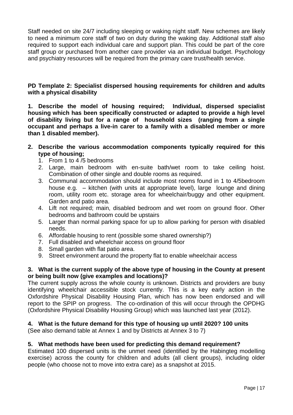Staff needed on site 24/7 including sleeping or waking night staff. New schemes are likely to need a minimum core staff of two on duty during the waking day. Additional staff also required to support each individual care and support plan. This could be part of the core staff group or purchased from another care provider via an individual budget. Psychology and psychiatry resources will be required from the primary care trust/health service.

# **PD Template 2: Specialist dispersed housing requirements for children and adults with a physical disability**

**1. Describe the model of housing required; Individual, dispersed specialist housing which has been specifically constructed or adapted to provide a high level of disability living but for a range of household sizes (ranging from a single occupant and perhaps a live-in carer to a family with a disabled member or more than 1 disabled member).**

- **2. Describe the various accommodation components typically required for this type of housing;**
	- 1. From 1 to 4 /5 bedrooms
	- 2. Large, main bedroom with en-suite bath/wet room to take ceiling hoist. Combination of other single and double rooms as required.
	- 3. Communal accommodation should include most rooms found in 1 to 4/5bedroom house e.g. – kitchen (with units at appropriate level), large lounge and dining room, utility room etc. storage area for wheelchair/buggy and other equipment. Garden and patio area.
	- 4. Lift not required; main, disabled bedroom and wet room on ground floor. Other bedrooms and bathroom could be upstairs
	- 5. Larger than normal parking space for up to allow parking for person with disabled needs.
	- 6. Affordable housing to rent (possible some shared ownership?)
	- 7. Full disabled and wheelchair access on ground floor
	- 8. Small garden with flat patio area.
	- 9. Street environment around the property flat to enable wheelchair access

# **3. What is the current supply of the above type of housing in the County at present or being built now (give examples and locations)?**

The current supply across the whole county is unknown. Districts and providers are busy identifying wheelchair accessible stock currently. This is a key early action in the Oxfordshire Physical Disability Housing Plan, which has now been endorsed and will report to the SPIP on progress. The co-ordination of this will occur through the OPDHG (Oxfordshire Physical Disability Housing Group) which was launched last year (2012).

# **4. What is the future demand for this type of housing up until 2020? 100 units**

(See also demand table at Annex 1 and by Districts at Annex 3 to 7)

# **5. What methods have been used for predicting this demand requirement?**

Estimated 100 dispersed units is the unmet need (identified by the Habingteg modelling exercise) across the county for children and adults (all client groups), including older people (who choose not to move into extra care) as a snapshot at 2015.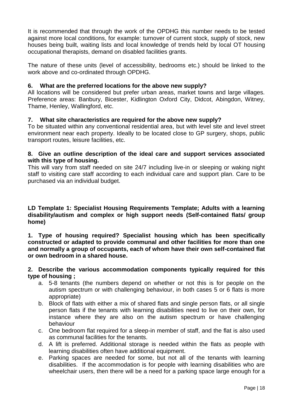It is recommended that through the work of the OPDHG this number needs to be tested against more local conditions, for example: turnover of current stock, supply of stock, new houses being built, waiting lists and local knowledge of trends held by local OT housing occupational therapists, demand on disabled facilities grants.

The nature of these units (level of accessibility, bedrooms etc.) should be linked to the work above and co-ordinated through OPDHG.

# **6. What are the preferred locations for the above new supply?**

All locations will be considered but prefer urban areas, market towns and large villages. Preference areas: Banbury, Bicester, Kidlington Oxford City, Didcot, Abingdon, Witney, Thame, Henley, Wallingford, etc.

# **7. What site characteristics are required for the above new supply?**

To be situated within any conventional residential area, but with level site and level street environment near each property. Ideally to be located close to GP surgery, shops, public transport routes, leisure facilities, etc.

# **8. Give an outline description of the ideal care and support services associated with this type of housing.**

This will vary from staff needed on site 24/7 including live-in or sleeping or waking night staff to visiting care staff according to each individual care and support plan. Care to be purchased via an individual budget.

**LD Template 1: Specialist Housing Requirements Template; Adults with a learning disability/autism and complex or high support needs (Self-contained flats/ group home)**

**1. Type of housing required? Specialist housing which has been specifically constructed or adapted to provide communal and other facilities for more than one and normally a group of occupants, each of whom have their own self-contained flat or own bedroom in a shared house.** 

# **2. Describe the various accommodation components typically required for this type of housing ;**

- a. 5-8 tenants (the numbers depend on whether or not this is for people on the autism spectrum or with challenging behaviour, in both cases 5 or 6 flats is more appropriate)
- b. Block of flats with either a mix of shared flats and single person flats, or all single person flats if the tenants with learning disabilities need to live on their own, for instance where they are also on the autism spectrum or have challenging behaviour
- c. One bedroom flat required for a sleep-in member of staff, and the flat is also used as communal facilities for the tenants.
- d. A lift is preferred. Additional storage is needed within the flats as people with learning disabilities often have additional equipment.
- e. Parking spaces are needed for some, but not all of the tenants with learning disabilities. If the accommodation is for people with learning disabilities who are wheelchair users, then there will be a need for a parking space large enough for a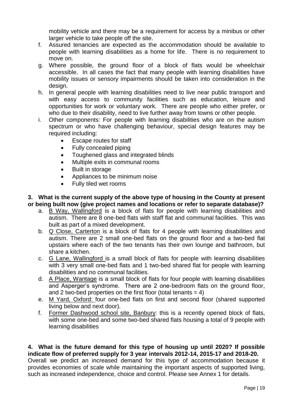mobility vehicle and there may be a requirement for access by a minibus or other larger vehicle to take people off the site.

- f. Assured tenancies are expected as the accommodation should be available to people with learning disabilities as a home for life. There is no requirement to move on.
- g. Where possible, the ground floor of a block of flats would be wheelchair accessible. In all cases the fact that many people with learning disabilities have mobility issues or sensory impairments should be taken into consideration in the design.
- h. In general people with learning disabilities need to live near public transport and with easy access to community facilities such as education, leisure and opportunities for work or voluntary work. There are people who either prefer, or who due to their disability, need to live further away from towns or other people.
- i. Other components: For people with learning disabilities who are on the autism spectrum or who have challenging behaviour, special design features may be required including:
	- Escape routes for staff
	- Fully concealed piping
	- Toughened glass and integrated blinds
	- Multiple exits in communal rooms
	- Built in storage
	- Appliances to be minimum noise
	- Fully tiled wet rooms

# **3. What is the current supply of the above type of housing in the County at present or being built now (give project names and locations or refer to separate database)?**

- a. B Way, Wallingford is a block of flats for people with learning disabilities and autism. There are 8 one-bed flats with staff flat and communal facilities. This was built as part of a mixed development.
- b. Q Close, Carterton is a block of flats for 4 people with learning disabilities and autism. There are 2 small one-bed flats on the ground floor and a two-bed flat upstairs where each of the two tenants has their own lounge and bathroom, but share a kitchen.
- c. G Lane, Wallingford is a small block of flats for people with learning disabilities with 3 very small one-bed flats and 1 two-bed shared flat for people with learning disabilities and no communal facilities.
- d. A Place, Wantage is a small block of flats for four people with learning disabilities and Asperger's syndrome. There are 2 one-bedroom flats on the ground floor, and 2 two-bed properties on the first floor (total tenants  $= 4$ )
- e. M Yard, Oxford: four one-bed flats on first and second floor (shared supported living below and next door).
- f. Former Dashwood school site, Banbury: this is a recently opened block of flats, with some one-bed and some two-bed shared flats housing a total of 9 people with learning disabilities

**4. What is the future demand for this type of housing up until 2020? If possible indicate flow of preferred supply for 3 year intervals 2012-14, 2015-17 and 2018-20.**  Overall we predict an increased demand for this type of accommodation because it provides economies of scale while maintaining the important aspects of supported living, such as increased independence, choice and control. Please see Annex 1 for details.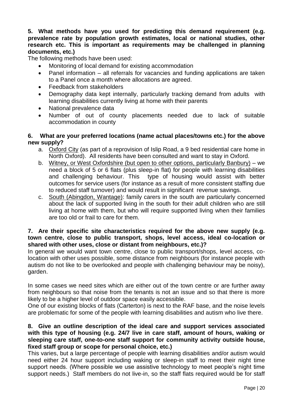**5. What methods have you used for predicting this demand requirement (e.g. prevalence rate by population growth estimates, local or national studies, other research etc. This is important as requirements may be challenged in planning documents, etc.)**

The following methods have been used:

- Monitoring of local demand for existing accommodation
- Panel information all referrals for vacancies and funding applications are taken to a Panel once a month where allocations are agreed.
- Feedback from stakeholders
- Demography data kept internally, particularly tracking demand from adults with learning disabilities currently living at home with their parents
- National prevalence data
- Number of out of county placements needed due to lack of suitable accommodation in county

# **6. What are your preferred locations (name actual places/towns etc.) for the above new supply?**

- a. Oxford City (as part of a reprovision of Islip Road, a 9 bed residential care home in North Oxford). All residents have been consulted and want to stay in Oxford.
- b. Witney, or West Oxfordshire (but open to other options, particularly Banbury) we need a block of 5 or 6 flats (plus sleep-in flat) for people with learning disabilities and challenging behaviour. This type of housing would assist with better outcomes for service users (for instance as a result of more consistent staffing due to reduced staff turnover) and would result in significant revenue savings.
- c. South (Abingdon, Wantage): family carers in the south are particularly concerned about the lack of supported living in the south for their adult children who are still living at home with them, but who will require supported living when their families are too old or frail to care for them.

## **7. Are their specific site characteristics required for the above new supply (e.g. town centre, close to public transport, shops, level access, ideal co-location or shared with other uses, close or distant from neighbours, etc.)?**

In general we would want town centre, close to public transport/shops, level access, colocation with other uses possible, some distance from neighbours (for instance people with autism do not like to be overlooked and people with challenging behaviour may be noisy), garden.

In some cases we need sites which are either out of the town centre or are further away from neighbours so that noise from the tenants is not an issue and so that there is more likely to be a higher level of outdoor space easily accessible.

One of our existing blocks of flats (Carterton) is next to the RAF base, and the noise levels are problematic for some of the people with learning disabilities and autism who live there.

# **8. Give an outline description of the ideal care and support services associated with this type of housing (e.g. 24/7 live in care staff, amount of hours, waking or sleeping care staff, one-to-one staff support for community activity outside house, fixed staff group or scope for personal choice, etc.)**

This varies, but a large percentage of people with learning disabilities and/or autism would need either 24 hour support including waking or sleep-in staff to meet their night time support needs. (Where possible we use assistive technology to meet people's night time support needs.) Staff members do not live-in, so the staff flats required would be for staff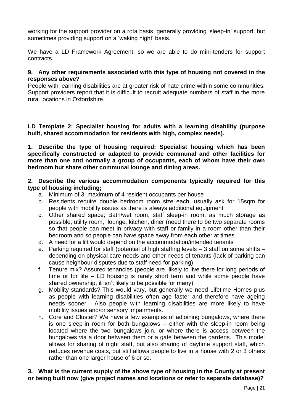working for the support provider on a rota basis, generally providing 'sleep-in' support, but sometimes providing support on a 'waking night' basis.

We have a LD Framework Agreement, so we are able to do mini-tenders for support contracts.

# **9. Any other requirements associated with this type of housing not covered in the responses above?**

People with learning disabilities are at greater risk of hate crime within some communities. Support providers report that it is difficult to recruit adequate numbers of staff in the more rural locations in Oxfordshire.

**LD Template 2: Specialist housing for adults with a learning disability (purpose built, shared accommodation for residents with high, complex needs).**

**1. Describe the type of housing required: Specialist housing which has been specifically constructed or adapted to provide communal and other facilities for more than one and normally a group of occupants, each of whom have their own bedroom but share other communal lounge and dining areas.** 

# **2. Describe the various accommodation components typically required for this type of housing including;**

- a. Minimum of 3, maximum of 4 resident occupants per house
- b. Residents require double bedroom room size each, usually ask for 15sqm for people with mobility issues as there is always additional equipment
- c. Other shared space; Bath/wet room, staff sleep-in room, as much storage as possible, utility room, lounge, kitchen, diner (need there to be two separate rooms so that people can meet in privacy with staff or family in a room other than their bedroom and so people can have space away from each other at times
- d. A need for a lift would depend on the accommodation/intended tenants
- e. Parking required for staff (potential of high staffing levels 3 staff on some shifts depending on physical care needs and other needs of tenants (lack of parking can cause neighbour disputes due to staff need for parking)
- f. Tenure mix? Assured tenancies (people are likely to live there for long periods of time or for life – LD housing is rarely short term and while some people have shared ownership, it isn't likely to be possible for many)
- g. Mobility standards? This would vary, but generally we need Lifetime Homes plus as people with learning disabilities often age faster and therefore have ageing needs sooner. Also people with learning disabilities are more likely to have mobility issues and/or sensory impairments.
- h. Core and Cluster? We have a few examples of adjoining bungalows, where there is one sleep-in room for both bungalows – either with the sleep-in room being located where the two bungalows join, or where there is access between the bungalows via a door between them or a gate between the gardens. This model allows for sharing of night staff, but also sharing of daytime support staff, which reduces revenue costs, but still allows people to live in a house with 2 or 3 others rather than one larger house of 6 or so.

# **3. What is the current supply of the above type of housing in the County at present or being built now (give project names and locations or refer to separate database)?**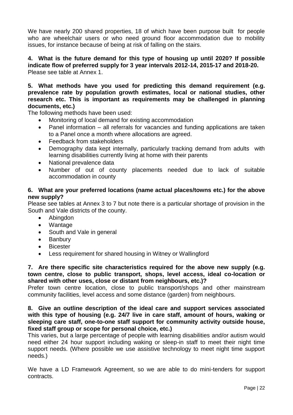We have nearly 200 shared properties, 18 of which have been purpose built for people who are wheelchair users or who need ground floor accommodation due to mobility issues, for instance because of being at risk of falling on the stairs.

**4. What is the future demand for this type of housing up until 2020? If possible indicate flow of preferred supply for 3 year intervals 2012-14, 2015-17 and 2018-20.**  Please see table at Annex 1.

**5. What methods have you used for predicting this demand requirement (e.g. prevalence rate by population growth estimates, local or national studies, other research etc. This is important as requirements may be challenged in planning documents, etc.)**

The following methods have been used:

- Monitoring of local demand for existing accommodation
- Panel information all referrals for vacancies and funding applications are taken to a Panel once a month where allocations are agreed.
- Feedback from stakeholders
- Demography data kept internally, particularly tracking demand from adults with learning disabilities currently living at home with their parents
- National prevalence data
- Number of out of county placements needed due to lack of suitable accommodation in county

# **6. What are your preferred locations (name actual places/towns etc.) for the above new supply?**

Please see tables at Annex 3 to 7 but note there is a particular shortage of provision in the South and Vale districts of the county.

- Abingdon
- Wantage
- South and Vale in general
- Banbury
- Bicester
- Less requirement for shared housing in Witney or Wallingford

**7. Are there specific site characteristics required for the above new supply (e.g. town centre, close to public transport, shops, level access, ideal co-location or shared with other uses, close or distant from neighbours, etc.)?**

Prefer town centre location, close to public transport/shops and other mainstream community facilities, level access and some distance (garden) from neighbours.

**8. Give an outline description of the ideal care and support services associated with this type of housing (e.g. 24/7 live in care staff, amount of hours, waking or sleeping care staff, one-to-one staff support for community activity outside house, fixed staff group or scope for personal choice, etc.)**

This varies, but a large percentage of people with learning disabilities and/or autism would need either 24 hour support including waking or sleep-in staff to meet their night time support needs. (Where possible we use assistive technology to meet night time support needs.)

We have a LD Framework Agreement, so we are able to do mini-tenders for support contracts.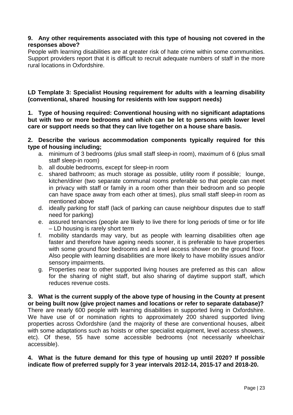# **9. Any other requirements associated with this type of housing not covered in the responses above?**

People with learning disabilities are at greater risk of hate crime within some communities. Support providers report that it is difficult to recruit adequate numbers of staff in the more rural locations in Oxfordshire.

**LD Template 3: Specialist Housing requirement for adults with a learning disability (conventional, shared housing for residents with low support needs)**

**1. Type of housing required: Conventional housing with no significant adaptations but with two or more bedrooms and which can be let to persons with lower level care or support needs so that they can live together on a house share basis.** 

**2. Describe the various accommodation components typically required for this type of housing including;** 

- a. minimum of 3 bedrooms (plus small staff sleep-in room), maximum of 6 (plus small staff sleep-in room)
- b. all double bedrooms, except for sleep-in room
- c. shared bathroom; as much storage as possible, utility room if possible; lounge, kitchen/diner (two separate communal rooms preferable so that people can meet in privacy with staff or family in a room other than their bedroom and so people can have space away from each other at times), plus small staff sleep-in room as mentioned above
- d. ideally parking for staff (lack of parking can cause neighbour disputes due to staff need for parking)
- e. assured tenancies (people are likely to live there for long periods of time or for life – LD housing is rarely short term
- f. mobility standards may vary, but as people with learning disabilities often age faster and therefore have ageing needs sooner, it is preferable to have properties with some ground floor bedrooms and a level access shower on the ground floor. Also people with learning disabilities are more likely to have mobility issues and/or sensory impairments.
- g. Properties near to other supported living houses are preferred as this can allow for the sharing of night staff, but also sharing of daytime support staff, which reduces revenue costs.

**3. What is the current supply of the above type of housing in the County at present or being built now (give project names and locations or refer to separate database)?** There are nearly 600 people with learning disabilities in supported living in Oxfordshire. We have use of or nomination rights to approximately 200 shared supported living properties across Oxfordshire (and the majority of these are conventional houses, albeit with some adaptations such as hoists or other specialist equipment, level access showers, etc). Of these, 55 have some accessible bedrooms (not necessarily wheelchair accessible).

# **4. What is the future demand for this type of housing up until 2020? If possible indicate flow of preferred supply for 3 year intervals 2012-14, 2015-17 and 2018-20.**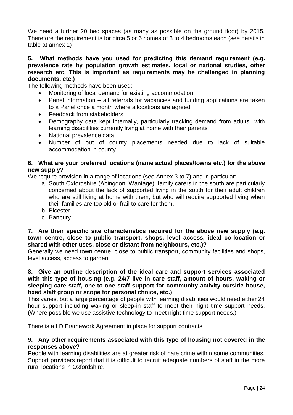We need a further 20 bed spaces (as many as possible on the ground floor) by 2015. Therefore the requirement is for circa 5 or 6 homes of 3 to 4 bedrooms each (see details in table at annex 1)

# **5. What methods have you used for predicting this demand requirement (e.g. prevalence rate by population growth estimates, local or national studies, other research etc. This is important as requirements may be challenged in planning documents, etc.)**

The following methods have been used:

- Monitoring of local demand for existing accommodation
- Panel information all referrals for vacancies and funding applications are taken to a Panel once a month where allocations are agreed.
- Feedback from stakeholders
- Demography data kept internally, particularly tracking demand from adults with learning disabilities currently living at home with their parents
- National prevalence data
- Number of out of county placements needed due to lack of suitable accommodation in county

# **6. What are your preferred locations (name actual places/towns etc.) for the above new supply?**

We require provision in a range of locations (see Annex 3 to 7) and in particular;

- a. South Oxfordshire (Abingdon, Wantage): family carers in the south are particularly concerned about the lack of supported living in the south for their adult children who are still living at home with them, but who will require supported living when their families are too old or frail to care for them.
- b. Bicester
- c. Banbury

## **7. Are their specific site characteristics required for the above new supply (e.g. town centre, close to public transport, shops, level access, ideal co-location or shared with other uses, close or distant from neighbours, etc.)?**

Generally we need town centre, close to public transport, community facilities and shops, level access, access to garden.

# **8. Give an outline description of the ideal care and support services associated with this type of housing (e.g. 24/7 live in care staff, amount of hours, waking or sleeping care staff, one-to-one staff support for community activity outside house, fixed staff group or scope for personal choice, etc.)**

This varies, but a large percentage of people with learning disabilities would need either 24 hour support including waking or sleep-in staff to meet their night time support needs. (Where possible we use assistive technology to meet night time support needs.)

There is a LD Framework Agreement in place for support contracts

# **9. Any other requirements associated with this type of housing not covered in the responses above?**

People with learning disabilities are at greater risk of hate crime within some communities. Support providers report that it is difficult to recruit adequate numbers of staff in the more rural locations in Oxfordshire.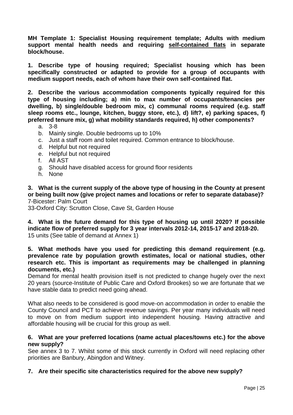**MH Template 1: Specialist Housing requirement template; Adults with medium support mental health needs and requiring self-contained flats in separate block/house.**

**1. Describe type of housing required; Specialist housing which has been specifically constructed or adapted to provide for a group of occupants with medium support needs, each of whom have their own self-contained flat.** 

**2. Describe the various accommodation components typically required for this type of housing including; a) min to max number of occupants/tenancies per dwelling, b) single/double bedroom mix, c) communal rooms required (e.g. staff sleep rooms etc., lounge, kitchen, buggy store, etc.), d) lift?, e) parking spaces, f) preferred tenure mix, g) what mobility standards required, h) other components?**

- a. 3-8
- b. Mainly single. Double bedrooms up to 10%
- c. Just a staff room and toilet required. Common entrance to block/house.
- d. Helpful but not required
- e. Helpful but not required
- f. All AST
- g. Should have disabled access for ground floor residents
- h. None

**3. What is the current supply of the above type of housing in the County at present or being built now (give project names and locations or refer to separate database)?** 7-Bicester: Palm Court

33-Oxford City: Scrutton Close, Cave St, Garden House

**4. What is the future demand for this type of housing up until 2020? If possible indicate flow of preferred supply for 3 year intervals 2012-14, 2015-17 and 2018-20.**  15 units (See table of demand at Annex 1)

# **5. What methods have you used for predicting this demand requirement (e.g. prevalence rate by population growth estimates, local or national studies, other research etc. This is important as requirements may be challenged in planning documents, etc.)**

Demand for mental health provision itself is not predicted to change hugely over the next 20 years (source-Institute of Public Care and Oxford Brookes) so we are fortunate that we have stable data to predict need going ahead.

What also needs to be considered is good move-on accommodation in order to enable the County Council and PCT to achieve revenue savings. Per year many individuals will need to move on from medium support into independent housing. Having attractive and affordable housing will be crucial for this group as well.

# **6. What are your preferred locations (name actual places/towns etc.) for the above new supply?**

See annex 3 to 7. Whilst some of this stock currently in Oxford will need replacing other priorities are Banbury, Abingdon and Witney.

#### **7. Are their specific site characteristics required for the above new supply?**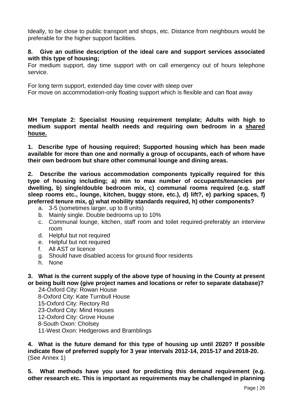Ideally, to be close to public transport and shops, etc. Distance from neighbours would be preferable for the higher support facilities.

# **8. Give an outline description of the ideal care and support services associated with this type of housing;**

For medium support, day time support with on call emergency out of hours telephone service.

For long term support, extended day time cover with sleep over For move on accommodation-only floating support which is flexible and can float away

**MH Template 2: Specialist Housing requirement template; Adults with high to medium support mental health needs and requiring own bedroom in a shared house.**

**1. Describe type of housing required; Supported housing which has been made available for more than one and normally a group of occupants, each of whom have their own bedroom but share other communal lounge and dining areas.**

**2. Describe the various accommodation components typically required for this type of housing including; a) min to max number of occupants/tenancies per dwelling, b) single/double bedroom mix, c) communal rooms required (e.g. staff sleep rooms etc., lounge, kitchen, buggy store, etc.), d) lift?, e) parking spaces, f) preferred tenure mix, g) what mobility standards required, h) other components?**

- a. 3-5 (sometimes larger, up to 8 units)
- b. Mainly single. Double bedrooms up to 10%
- c. Communal lounge, kitchen, staff room and toilet required-preferably an interview room
- d. Helpful but not required
- e. Helpful but not required
- f. All AST or licence
- g. Should have disabled access for ground floor residents
- h. None

**3. What is the current supply of the above type of housing in the County at present or being built now (give project names and locations or refer to separate database)?**

24-Oxford City: Rowan House 8-Oxford City: Kate Turnbull House 15-Oxford City: Rectory Rd 23-Oxford City: Mind Houses 12-Oxford City: Grove House 8-South Oxon: Cholsey 11-West Oxon: Hedgerows and Bramblings

**4. What is the future demand for this type of housing up until 2020? If possible indicate flow of preferred supply for 3 year intervals 2012-14, 2015-17 and 2018-20.** (See Annex 1)

**5. What methods have you used for predicting this demand requirement (e.g. other research etc. This is important as requirements may be challenged in planning**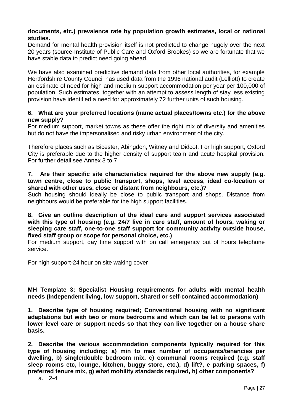# **documents, etc.) prevalence rate by population growth estimates, local or national studies.**

Demand for mental health provision itself is not predicted to change hugely over the next 20 years (source-Institute of Public Care and Oxford Brookes) so we are fortunate that we have stable data to predict need going ahead.

We have also examined predictive demand data from other local authorities, for example Hertfordshire County Council has used data from the 1996 national audit (Lelliott) to create an estimate of need for high and medium support accommodation per year per 100,000 of population. Such estimates, together with an attempt to assess length of stay less existing provision have identified a need for approximately 72 further units of such housing.

# **6. What are your preferred locations (name actual places/towns etc.) for the above new supply?**

For medium support, market towns as these offer the right mix of diversity and amenities but do not have the impersonalised and risky urban environment of the city.

Therefore places such as Bicester, Abingdon, Witney and Didcot. For high support, Oxford City is preferable due to the higher density of support team and acute hospital provision. For further detail see Annex 3 to 7.

## **7. Are their specific site characteristics required for the above new supply (e.g. town centre, close to public transport, shops, level access, ideal co-location or shared with other uses, close or distant from neighbours, etc.)?**

Such housing should ideally be close to public transport and shops. Distance from neighbours would be preferable for the high support facilities.

# **8. Give an outline description of the ideal care and support services associated with this type of housing (e.g. 24/7 live in care staff, amount of hours, waking or sleeping care staff, one-to-one staff support for community activity outside house, fixed staff group or scope for personal choice, etc.)**

For medium support, day time support with on call emergency out of hours telephone service.

For high support-24 hour on site waking cover

# **MH Template 3; Specialist Housing requirements for adults with mental health needs (Independent living, low support, shared or self-contained accommodation)**

**1. Describe type of housing required; Conventional housing with no significant adaptations but with two or more bedrooms and which can be let to persons with lower level care or support needs so that they can live together on a house share basis.** 

**2. Describe the various accommodation components typically required for this type of housing including; a) min to max number of occupants/tenancies per dwelling, b) single/double bedroom mix, c) communal rooms required (e.g. staff sleep rooms etc, lounge, kitchen, buggy store, etc.), d) lift?, e parking spaces, f) preferred tenure mix, g) what mobility standards required, h) other components?**

a. 2-4